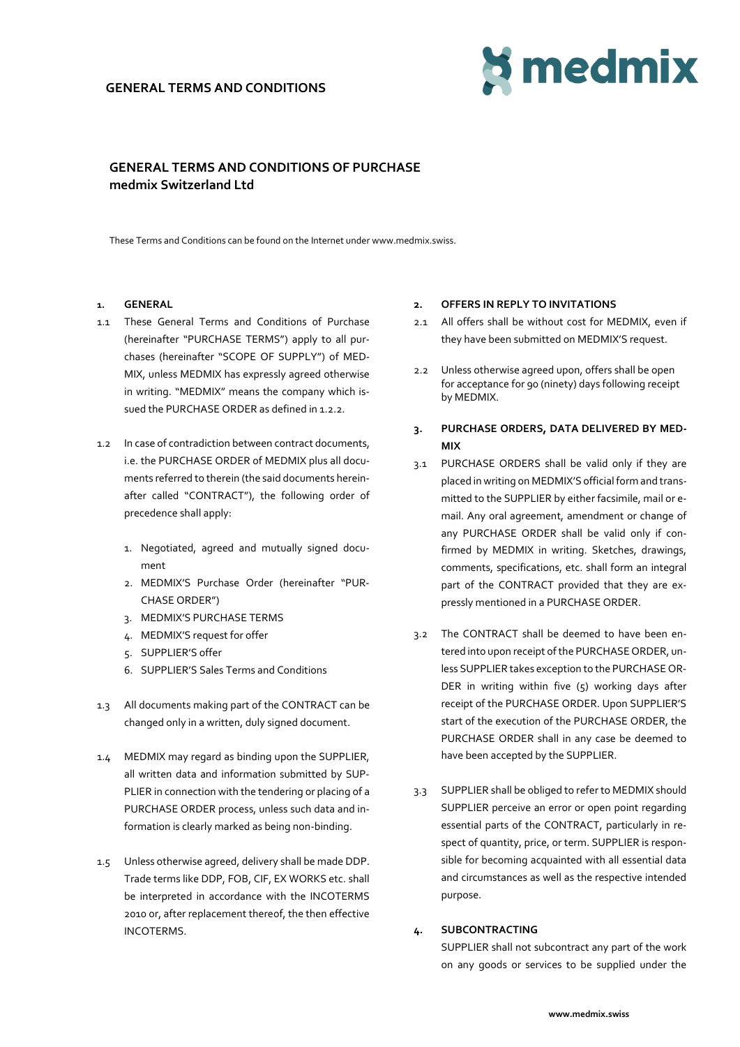## **GENERAL TERMS AND CONDITIONS**



# **GENERAL TERMS AND CONDITIONS OF PURCHASE medmix Switzerland Ltd**

These Terms and Conditions can be found on the Internet under www.medmix.swiss.

## **1. GENERAL**

- 1.1 These General Terms and Conditions of Purchase (hereinafter "PURCHASE TERMS") apply to all purchases (hereinafter "SCOPE OF SUPPLY") of MED-MIX, unless MEDMIX has expressly agreed otherwise in writing. "MEDMIX" means the company which issued the PURCHASE ORDER as defined in 1.2.2.
- 1.2 In case of contradiction between contract documents, i.e. the PURCHASE ORDER of MEDMIX plus all documents referred to therein (the said documents hereinafter called "CONTRACT"), the following order of precedence shall apply:
	- 1. Negotiated, agreed and mutually signed document
	- 2. MEDMIX'S Purchase Order (hereinafter "PUR-CHASE ORDER")
	- 3. MEDMIX'S PURCHASE TERMS
	- 4. MEDMIX'S request for offer
	- 5. SUPPLIER'S offer
	- 6. SUPPLIER'S Sales Terms and Conditions
- 1.3 All documents making part of the CONTRACT can be changed only in a written, duly signed document.
- 1.4 MEDMIX may regard as binding upon the SUPPLIER, all written data and information submitted by SUP-PLIER in connection with the tendering or placing of a PURCHASE ORDER process, unless such data and information is clearly marked as being non-binding.
- 1.5 Unless otherwise agreed, delivery shall be made DDP. Trade terms like DDP, FOB, CIF, EX WORKS etc. shall be interpreted in accordance with the INCOTERMS 2010 or, after replacement thereof, the then effective INCOTERMS.

#### **2. OFFERS IN REPLY TO INVITATIONS**

- 2.1 All offers shall be without cost for MEDMIX, even if they have been submitted on MEDMIX'S request.
- 2.2 Unless otherwise agreed upon, offers shall be open for acceptance for 90 (ninety) days following receipt by MEDMIX.
- **3. PURCHASE ORDERS, DATA DELIVERED BY MED-MIX**
- 3.1 PURCHASE ORDERS shall be valid only if they are placed in writing on MEDMIX'S official form and transmitted to the SUPPLIER by either facsimile, mail or email. Any oral agreement, amendment or change of any PURCHASE ORDER shall be valid only if confirmed by MEDMIX in writing. Sketches, drawings, comments, specifications, etc. shall form an integral part of the CONTRACT provided that they are expressly mentioned in a PURCHASE ORDER.
- 3.2 The CONTRACT shall be deemed to have been entered into upon receipt of the PURCHASE ORDER, unless SUPPLIER takes exception to the PURCHASE OR-DER in writing within five (5) working days after receipt of the PURCHASE ORDER. Upon SUPPLIER'S start of the execution of the PURCHASE ORDER, the PURCHASE ORDER shall in any case be deemed to have been accepted by the SUPPLIER.
- 3.3 SUPPLIER shall be obliged to refer to MEDMIX should SUPPLIER perceive an error or open point regarding essential parts of the CONTRACT, particularly in respect of quantity, price, or term. SUPPLIER is responsible for becoming acquainted with all essential data and circumstances as well as the respective intended purpose.

### **4. SUBCONTRACTING**

SUPPLIER shall not subcontract any part of the work on any goods or services to be supplied under the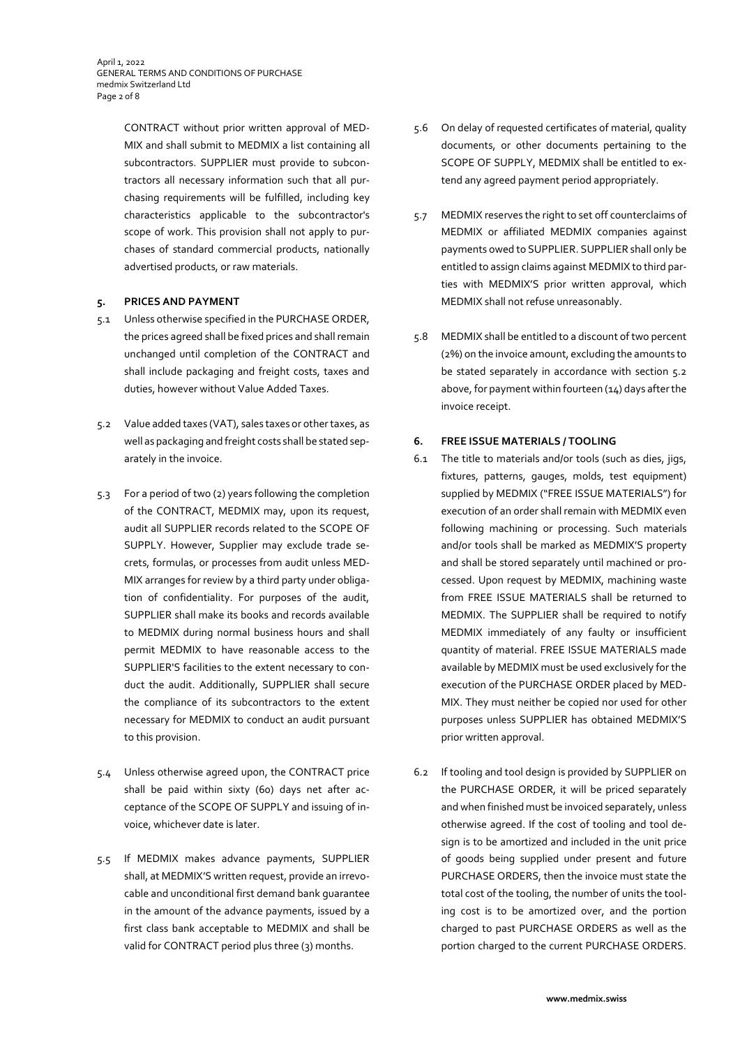CONTRACT without prior written approval of MED-MIX and shall submit to MEDMIX a list containing all subcontractors. SUPPLIER must provide to subcontractors all necessary information such that all purchasing requirements will be fulfilled, including key characteristics applicable to the subcontractor's scope of work. This provision shall not apply to purchases of standard commercial products, nationally advertised products, or raw materials.

## **5. PRICES AND PAYMENT**

- 5.1 Unless otherwise specified in the PURCHASE ORDER, the prices agreed shall be fixed prices and shall remain unchanged until completion of the CONTRACT and shall include packaging and freight costs, taxes and duties, however without Value Added Taxes.
- 5.2 Value added taxes (VAT), sales taxes or other taxes, as well as packaging and freight costs shall be stated separately in the invoice.
- 5.3 For a period of two (2) years following the completion of the CONTRACT, MEDMIX may, upon its request, audit all SUPPLIER records related to the SCOPE OF SUPPLY. However, Supplier may exclude trade secrets, formulas, or processes from audit unless MED-MIX arranges for review by a third party under obligation of confidentiality. For purposes of the audit, SUPPLIER shall make its books and records available to MEDMIX during normal business hours and shall permit MEDMIX to have reasonable access to the SUPPLIER'S facilities to the extent necessary to conduct the audit. Additionally, SUPPLIER shall secure the compliance of its subcontractors to the extent necessary for MEDMIX to conduct an audit pursuant to this provision.
- 5.4 Unless otherwise agreed upon, the CONTRACT price shall be paid within sixty (60) days net after acceptance of the SCOPE OF SUPPLY and issuing of invoice, whichever date is later.
- 5.5 If MEDMIX makes advance payments, SUPPLIER shall, at MEDMIX'S written request, provide an irrevocable and unconditional first demand bank guarantee in the amount of the advance payments, issued by a first class bank acceptable to MEDMIX and shall be valid for CONTRACT period plus three (3) months.
- 5.6 On delay of requested certificates of material, quality documents, or other documents pertaining to the SCOPE OF SUPPLY, MEDMIX shall be entitled to extend any agreed payment period appropriately.
- 5.7 MEDMIX reserves the right to set off counterclaims of MEDMIX or affiliated MEDMIX companies against payments owed to SUPPLIER. SUPPLIER shall only be entitled to assign claims against MEDMIX to third parties with MEDMIX'S prior written approval, which MEDMIX shall not refuse unreasonably.
- 5.8 MEDMIX shall be entitled to a discount of two percent (2%) on the invoice amount, excluding the amounts to be stated separately in accordance with section 5.2 above, for payment within fourteen (14) days after the invoice receipt.

## **6. FREE ISSUE MATERIALS / TOOLING**

- 6.1 The title to materials and/or tools (such as dies, jigs, fixtures, patterns, gauges, molds, test equipment) supplied by MEDMIX ("FREE ISSUE MATERIALS") for execution of an order shall remain with MEDMIX even following machining or processing. Such materials and/or tools shall be marked as MEDMIX'S property and shall be stored separately until machined or processed. Upon request by MEDMIX, machining waste from FREE ISSUE MATERIALS shall be returned to MEDMIX. The SUPPLIER shall be required to notify MEDMIX immediately of any faulty or insufficient quantity of material. FREE ISSUE MATERIALS made available by MEDMIX must be used exclusively for the execution of the PURCHASE ORDER placed by MED-MIX. They must neither be copied nor used for other purposes unless SUPPLIER has obtained MEDMIX'S prior written approval.
- 6.2 If tooling and tool design is provided by SUPPLIER on the PURCHASE ORDER, it will be priced separately and when finished must be invoiced separately, unless otherwise agreed. If the cost of tooling and tool design is to be amortized and included in the unit price of goods being supplied under present and future PURCHASE ORDERS, then the invoice must state the total cost of the tooling, the number of units the tooling cost is to be amortized over, and the portion charged to past PURCHASE ORDERS as well as the portion charged to the current PURCHASE ORDERS.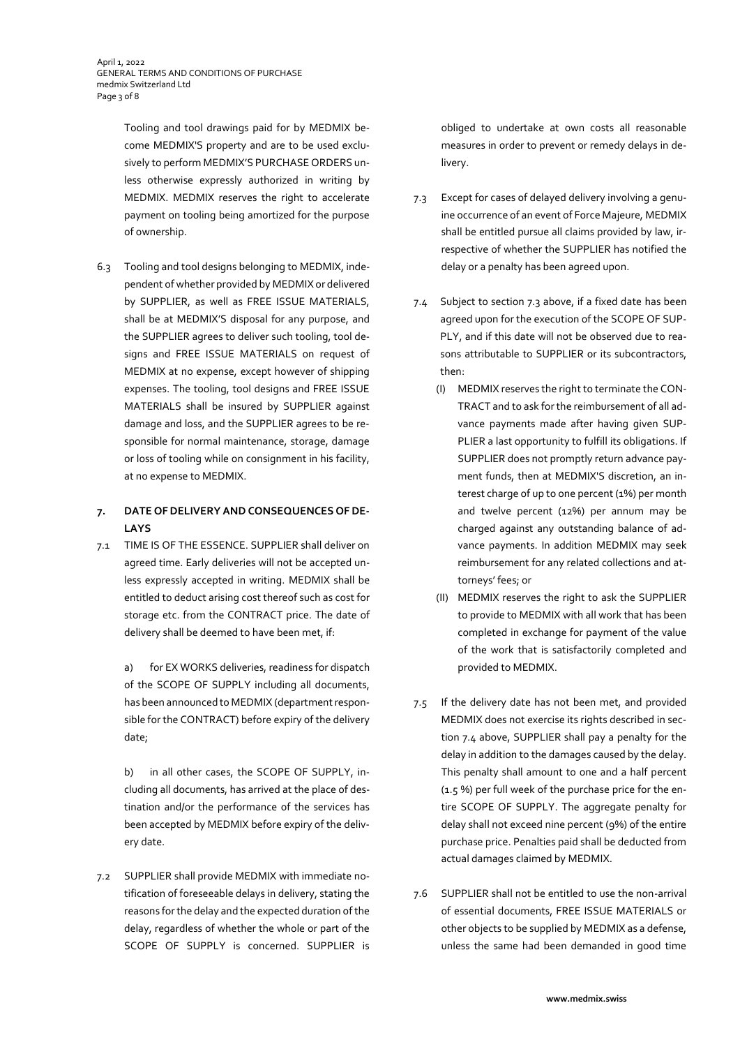Tooling and tool drawings paid for by MEDMIX become MEDMIX'S property and are to be used exclusively to perform MEDMIX'S PURCHASE ORDERS unless otherwise expressly authorized in writing by MEDMIX. MEDMIX reserves the right to accelerate payment on tooling being amortized for the purpose of ownership.

6.3 Tooling and tool designs belonging to MEDMIX, independent of whether provided by MEDMIX or delivered by SUPPLIER, as well as FREE ISSUE MATERIALS, shall be at MEDMIX'S disposal for any purpose, and the SUPPLIER agrees to deliver such tooling, tool designs and FREE ISSUE MATERIALS on request of MEDMIX at no expense, except however of shipping expenses. The tooling, tool designs and FREE ISSUE MATERIALS shall be insured by SUPPLIER against damage and loss, and the SUPPLIER agrees to be responsible for normal maintenance, storage, damage or loss of tooling while on consignment in his facility, at no expense to MEDMIX.

# **7. DATE OF DELIVERY AND CONSEQUENCES OF DE-LAYS**

7.1 TIME IS OF THE ESSENCE. SUPPLIER shall deliver on agreed time. Early deliveries will not be accepted unless expressly accepted in writing. MEDMIX shall be entitled to deduct arising cost thereof such as cost for storage etc. from the CONTRACT price. The date of delivery shall be deemed to have been met, if:

a) for EX WORKS deliveries, readiness for dispatch of the SCOPE OF SUPPLY including all documents, has been announced to MEDMIX (department responsible for the CONTRACT) before expiry of the delivery date;

b) in all other cases, the SCOPE OF SUPPLY, including all documents, has arrived at the place of destination and/or the performance of the services has been accepted by MEDMIX before expiry of the delivery date.

7.2 SUPPLIER shall provide MEDMIX with immediate notification of foreseeable delays in delivery, stating the reasons for the delay and the expected duration of the delay, regardless of whether the whole or part of the SCOPE OF SUPPLY is concerned. SUPPLIER is

obliged to undertake at own costs all reasonable measures in order to prevent or remedy delays in delivery.

- 7.3 Except for cases of delayed delivery involving a genuine occurrence of an event of Force Majeure, MEDMIX shall be entitled pursue all claims provided by law, irrespective of whether the SUPPLIER has notified the delay or a penalty has been agreed upon.
- 7.4 Subject to section 7.3 above, if a fixed date has been agreed upon for the execution of the SCOPE OF SUP-PLY, and if this date will not be observed due to reasons attributable to SUPPLIER or its subcontractors, then:
	- (I) MEDMIX reserves the right to terminate the CON-TRACT and to ask for the reimbursement of all advance payments made after having given SUP-PLIER a last opportunity to fulfill its obligations. If SUPPLIER does not promptly return advance payment funds, then at MEDMIX'S discretion, an interest charge of up to one percent (1%) per month and twelve percent (12%) per annum may be charged against any outstanding balance of advance payments. In addition MEDMIX may seek reimbursement for any related collections and attorneys' fees; or
	- (II) MEDMIX reserves the right to ask the SUPPLIER to provide to MEDMIX with all work that has been completed in exchange for payment of the value of the work that is satisfactorily completed and provided to MEDMIX.
- 7.5 If the delivery date has not been met, and provided MEDMIX does not exercise its rights described in section 7.4 above, SUPPLIER shall pay a penalty for the delay in addition to the damages caused by the delay. This penalty shall amount to one and a half percent (1.5 %) per full week of the purchase price for the entire SCOPE OF SUPPLY. The aggregate penalty for delay shall not exceed nine percent (9%) of the entire purchase price. Penalties paid shall be deducted from actual damages claimed by MEDMIX.
- 7.6 SUPPLIER shall not be entitled to use the non-arrival of essential documents, FREE ISSUE MATERIALS or other objects to be supplied by MEDMIX as a defense, unless the same had been demanded in good time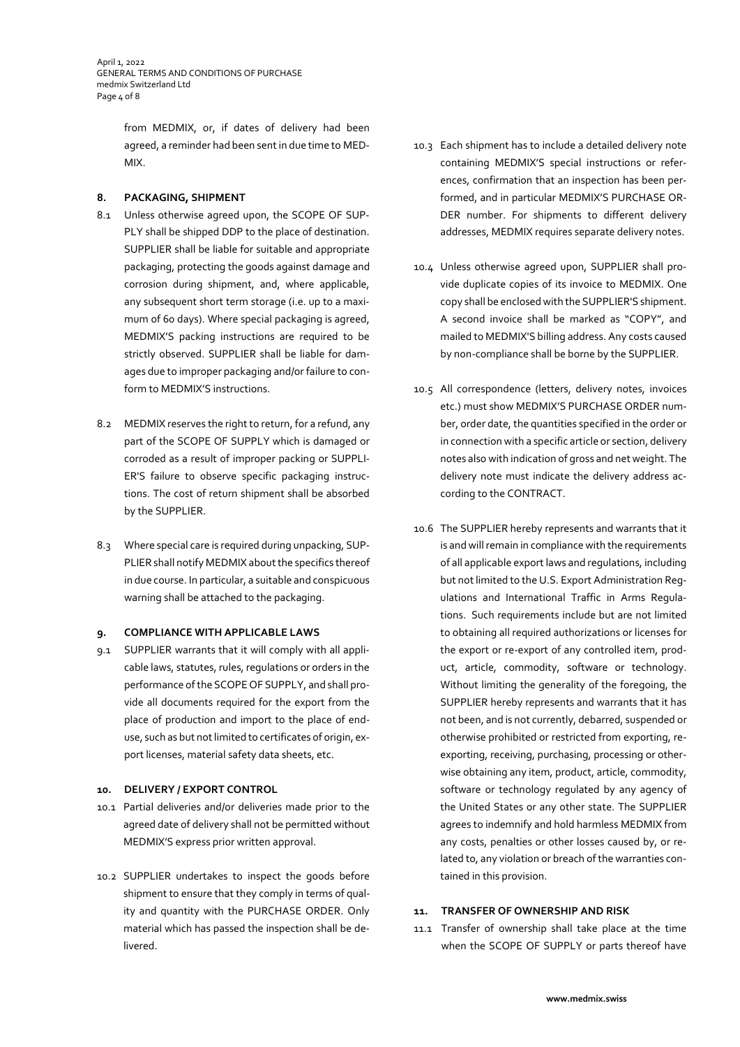April 1, 2022 GENERAL TERMS AND CONDITIONS OF PURCHASE medmix Switzerland Ltd Page 4 of 8

> from MEDMIX, or, if dates of delivery had been agreed, a reminder had been sent in due time to MED-MIX.

## **8. PACKAGING, SHIPMENT**

- 8.1 Unless otherwise agreed upon, the SCOPE OF SUP-PLY shall be shipped DDP to the place of destination. SUPPLIER shall be liable for suitable and appropriate packaging, protecting the goods against damage and corrosion during shipment, and, where applicable, any subsequent short term storage (i.e. up to a maximum of 60 days). Where special packaging is agreed, MEDMIX'S packing instructions are required to be strictly observed. SUPPLIER shall be liable for damages due to improper packaging and/or failure to conform to MEDMIX'S instructions.
- 8.2 MEDMIX reserves the right to return, for a refund, any part of the SCOPE OF SUPPLY which is damaged or corroded as a result of improper packing or SUPPLI-ER'S failure to observe specific packaging instructions. The cost of return shipment shall be absorbed by the SUPPLIER.
- 8.3 Where special care is required during unpacking, SUP-PLIER shall notify MEDMIX about the specifics thereof in due course. In particular, a suitable and conspicuous warning shall be attached to the packaging.

### **9. COMPLIANCE WITH APPLICABLE LAWS**

9.1 SUPPLIER warrants that it will comply with all applicable laws, statutes, rules, regulations or orders in the performance of the SCOPE OF SUPPLY, and shall provide all documents required for the export from the place of production and import to the place of enduse, such as but not limited to certificates of origin, export licenses, material safety data sheets, etc.

#### **10. DELIVERY / EXPORT CONTROL**

- 10.1 Partial deliveries and/or deliveries made prior to the agreed date of delivery shall not be permitted without MEDMIX'S express prior written approval.
- 10.2 SUPPLIER undertakes to inspect the goods before shipment to ensure that they comply in terms of quality and quantity with the PURCHASE ORDER. Only material which has passed the inspection shall be delivered.
- 10.3 Each shipment has to include a detailed delivery note containing MEDMIX'S special instructions or references, confirmation that an inspection has been performed, and in particular MEDMIX'S PURCHASE OR-DER number. For shipments to different delivery addresses, MEDMIX requires separate delivery notes.
- 10.4 Unless otherwise agreed upon, SUPPLIER shall provide duplicate copies of its invoice to MEDMIX. One copy shall be enclosed with the SUPPLIER'S shipment. A second invoice shall be marked as "COPY", and mailed to MEDMIX'S billing address. Any costs caused by non-compliance shall be borne by the SUPPLIER.
- 10.5 All correspondence (letters, delivery notes, invoices etc.) must show MEDMIX'S PURCHASE ORDER number, order date, the quantities specified in the order or in connection with a specific article or section, delivery notes also with indication of gross and net weight. The delivery note must indicate the delivery address according to the CONTRACT.
- 10.6 The SUPPLIER hereby represents and warrants that it is and will remain in compliance with the requirements of all applicable export laws and regulations, including but not limited to the U.S. Export Administration Regulations and International Traffic in Arms Regulations. Such requirements include but are not limited to obtaining all required authorizations or licenses for the export or re-export of any controlled item, product, article, commodity, software or technology. Without limiting the generality of the foregoing, the SUPPLIER hereby represents and warrants that it has not been, and is not currently, debarred, suspended or otherwise prohibited or restricted from exporting, reexporting, receiving, purchasing, processing or otherwise obtaining any item, product, article, commodity, software or technology regulated by any agency of the United States or any other state. The SUPPLIER agrees to indemnify and hold harmless MEDMIX from any costs, penalties or other losses caused by, or related to, any violation or breach of the warranties contained in this provision.

#### **11. TRANSFER OF OWNERSHIP AND RISK**

11.1 Transfer of ownership shall take place at the time when the SCOPE OF SUPPLY or parts thereof have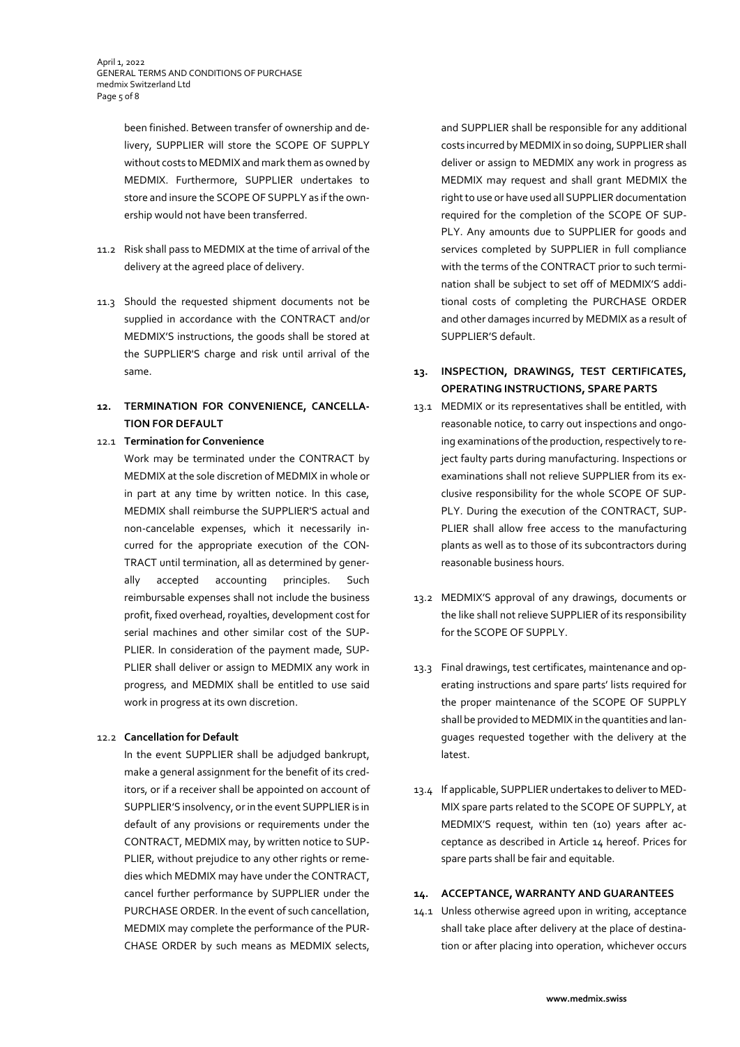April 1, 2022 GENERAL TERMS AND CONDITIONS OF PURCHASE medmix Switzerland Ltd Page 5 of 8

> been finished. Between transfer of ownership and delivery, SUPPLIER will store the SCOPE OF SUPPLY without costs to MEDMIX and mark them as owned by MEDMIX. Furthermore, SUPPLIER undertakes to store and insure the SCOPE OF SUPPLY as if the ownership would not have been transferred.

- 11.2 Risk shall pass to MEDMIX at the time of arrival of the delivery at the agreed place of delivery.
- 11.3 Should the requested shipment documents not be supplied in accordance with the CONTRACT and/or MEDMIX'S instructions, the goods shall be stored at the SUPPLIER'S charge and risk until arrival of the same.

## **12. TERMINATION FOR CONVENIENCE, CANCELLA-TION FOR DEFAULT**

## 12.1 **Termination for Convenience**

Work may be terminated under the CONTRACT by MEDMIX at the sole discretion of MEDMIX in whole or in part at any time by written notice. In this case, MEDMIX shall reimburse the SUPPLIER'S actual and non-cancelable expenses, which it necessarily incurred for the appropriate execution of the CON-TRACT until termination, all as determined by generally accepted accounting principles. Such reimbursable expenses shall not include the business profit, fixed overhead, royalties, development cost for serial machines and other similar cost of the SUP-PLIER. In consideration of the payment made, SUP-PLIER shall deliver or assign to MEDMIX any work in progress, and MEDMIX shall be entitled to use said work in progress at its own discretion.

### 12.2 **Cancellation for Default**

In the event SUPPLIER shall be adjudged bankrupt, make a general assignment for the benefit of its creditors, or if a receiver shall be appointed on account of SUPPLIER'S insolvency, or in the event SUPPLIER is in default of any provisions or requirements under the CONTRACT, MEDMIX may, by written notice to SUP-PLIER, without prejudice to any other rights or remedies which MEDMIX may have under the CONTRACT, cancel further performance by SUPPLIER under the PURCHASE ORDER. In the event of such cancellation, MEDMIX may complete the performance of the PUR-CHASE ORDER by such means as MEDMIX selects,

and SUPPLIER shall be responsible for any additional costs incurred by MEDMIX in so doing, SUPPLIER shall deliver or assign to MEDMIX any work in progress as MEDMIX may request and shall grant MEDMIX the right to use or have used all SUPPLIER documentation required for the completion of the SCOPE OF SUP-PLY. Any amounts due to SUPPLIER for goods and services completed by SUPPLIER in full compliance with the terms of the CONTRACT prior to such termination shall be subject to set off of MEDMIX'S additional costs of completing the PURCHASE ORDER and other damages incurred by MEDMIX as a result of SUPPLIER'S default.

- **13. INSPECTION, DRAWINGS, TEST CERTIFICATES, OPERATING INSTRUCTIONS, SPARE PARTS**
- 13.1 MEDMIX or its representatives shall be entitled, with reasonable notice, to carry out inspections and ongoing examinations of the production, respectively to reject faulty parts during manufacturing. Inspections or examinations shall not relieve SUPPLIER from its exclusive responsibility for the whole SCOPE OF SUP-PLY. During the execution of the CONTRACT, SUP-PLIER shall allow free access to the manufacturing plants as well as to those of its subcontractors during reasonable business hours.
- 13.2 MEDMIX'S approval of any drawings, documents or the like shall not relieve SUPPLIER of its responsibility for the SCOPE OF SUPPLY.
- 13.3 Final drawings, test certificates, maintenance and operating instructions and spare parts' lists required for the proper maintenance of the SCOPE OF SUPPLY shall be provided to MEDMIX in the quantities and languages requested together with the delivery at the latest.
- 13.4 If applicable, SUPPLIER undertakes to deliver to MED-MIX spare parts related to the SCOPE OF SUPPLY, at MEDMIX'S request, within ten (10) years after acceptance as described in Article 14 hereof. Prices for spare parts shall be fair and equitable.

#### **14. ACCEPTANCE, WARRANTY AND GUARANTEES**

14.1 Unless otherwise agreed upon in writing, acceptance shall take place after delivery at the place of destination or after placing into operation, whichever occurs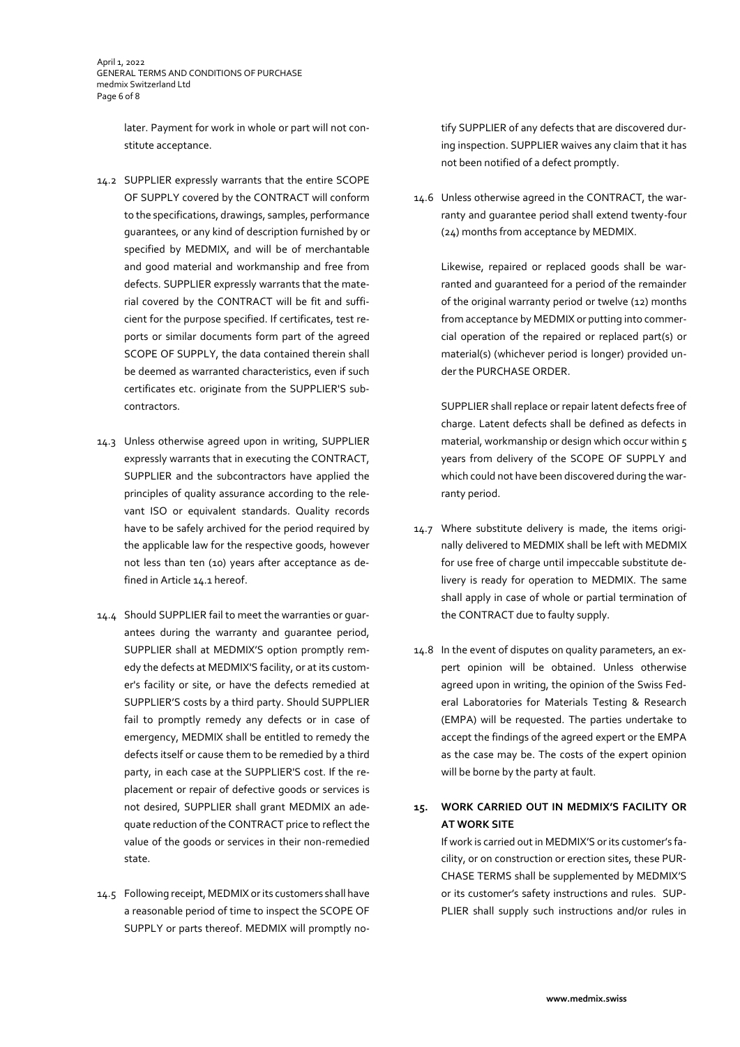April 1, 2022 GENERAL TERMS AND CONDITIONS OF PURCHASE medmix Switzerland Ltd Page 6 of 8

> later. Payment for work in whole or part will not constitute acceptance.

- 14.2 SUPPLIER expressly warrants that the entire SCOPE OF SUPPLY covered by the CONTRACT will conform to the specifications, drawings, samples, performance guarantees, or any kind of description furnished by or specified by MEDMIX, and will be of merchantable and good material and workmanship and free from defects. SUPPLIER expressly warrants that the material covered by the CONTRACT will be fit and sufficient for the purpose specified. If certificates, test reports or similar documents form part of the agreed SCOPE OF SUPPLY, the data contained therein shall be deemed as warranted characteristics, even if such certificates etc. originate from the SUPPLIER'S subcontractors.
- 14.3 Unless otherwise agreed upon in writing, SUPPLIER expressly warrants that in executing the CONTRACT, SUPPLIER and the subcontractors have applied the principles of quality assurance according to the relevant ISO or equivalent standards. Quality records have to be safely archived for the period required by the applicable law for the respective goods, however not less than ten (10) years after acceptance as defined in Article 14.1 hereof.
- 14.4 Should SUPPLIER fail to meet the warranties or guarantees during the warranty and guarantee period, SUPPLIER shall at MEDMIX'S option promptly remedy the defects at MEDMIX'S facility, or at its customer's facility or site, or have the defects remedied at SUPPLIER'S costs by a third party. Should SUPPLIER fail to promptly remedy any defects or in case of emergency, MEDMIX shall be entitled to remedy the defects itself or cause them to be remedied by a third party, in each case at the SUPPLIER'S cost. If the replacement or repair of defective goods or services is not desired, SUPPLIER shall grant MEDMIX an adequate reduction of the CONTRACT price to reflect the value of the goods or services in their non-remedied state.
- 14.5 Following receipt, MEDMIX or its customers shall have a reasonable period of time to inspect the SCOPE OF SUPPLY or parts thereof. MEDMIX will promptly no-

tify SUPPLIER of any defects that are discovered during inspection. SUPPLIER waives any claim that it has not been notified of a defect promptly.

14.6 Unless otherwise agreed in the CONTRACT, the warranty and guarantee period shall extend twenty-four (24) months from acceptance by MEDMIX.

> Likewise, repaired or replaced goods shall be warranted and guaranteed for a period of the remainder of the original warranty period or twelve (12) months from acceptance by MEDMIX or putting into commercial operation of the repaired or replaced part(s) or material(s) (whichever period is longer) provided under the PURCHASE ORDER.

SUPPLIER shall replace or repair latent defects free of charge. Latent defects shall be defined as defects in material, workmanship or design which occur within 5 years from delivery of the SCOPE OF SUPPLY and which could not have been discovered during the warranty period.

- 14.7 Where substitute delivery is made, the items originally delivered to MEDMIX shall be left with MEDMIX for use free of charge until impeccable substitute delivery is ready for operation to MEDMIX. The same shall apply in case of whole or partial termination of the CONTRACT due to faulty supply.
- 14.8 In the event of disputes on quality parameters, an expert opinion will be obtained. Unless otherwise agreed upon in writing, the opinion of the Swiss Federal Laboratories for Materials Testing & Research (EMPA) will be requested. The parties undertake to accept the findings of the agreed expert or the EMPA as the case may be. The costs of the expert opinion will be borne by the party at fault.

# **15. WORK CARRIED OUT IN MEDMIX'S FACILITY OR AT WORK SITE**

If work is carried out in MEDMIX'S or its customer's facility, or on construction or erection sites, these PUR-CHASE TERMS shall be supplemented by MEDMIX'S or its customer's safety instructions and rules. SUP-PLIER shall supply such instructions and/or rules in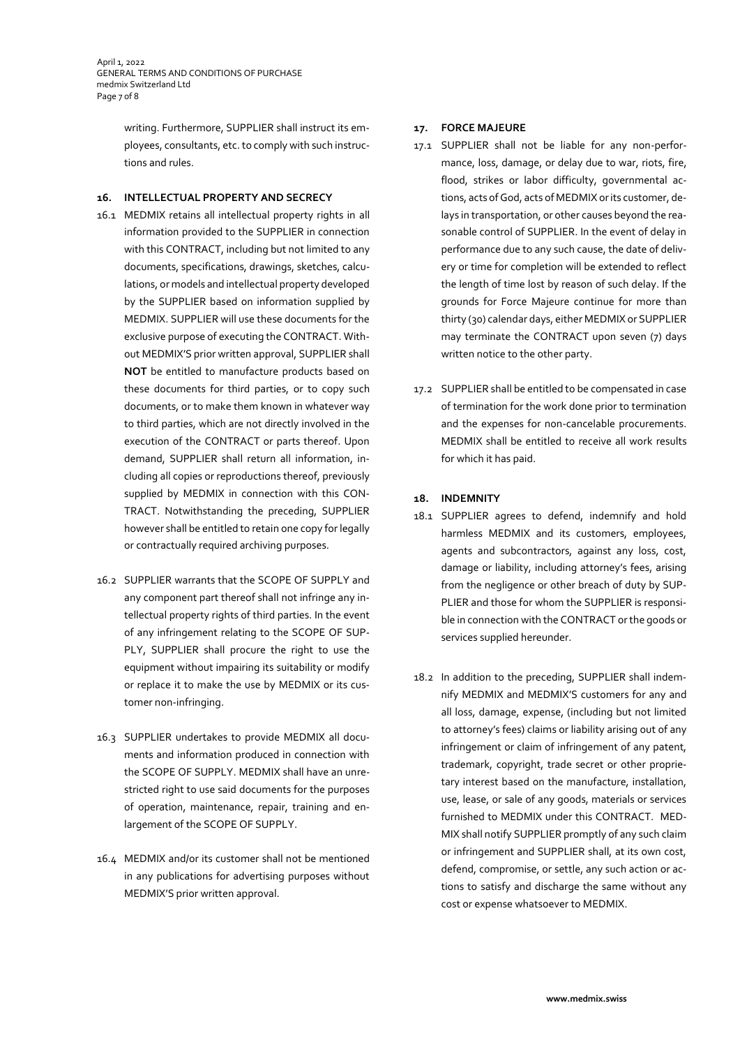April 1, 2022 GENERAL TERMS AND CONDITIONS OF PURCHASE medmix Switzerland Ltd Page 7 of 8

> writing. Furthermore, SUPPLIER shall instruct its employees, consultants, etc. to comply with such instructions and rules.

### **16. INTELLECTUAL PROPERTY AND SECRECY**

- 16.1 MEDMIX retains all intellectual property rights in all information provided to the SUPPLIER in connection with this CONTRACT, including but not limited to any documents, specifications, drawings, sketches, calculations, or models and intellectual property developed by the SUPPLIER based on information supplied by MEDMIX. SUPPLIER will use these documents for the exclusive purpose of executing the CONTRACT. Without MEDMIX'S prior written approval, SUPPLIER shall **NOT** be entitled to manufacture products based on these documents for third parties, or to copy such documents, or to make them known in whatever way to third parties, which are not directly involved in the execution of the CONTRACT or parts thereof. Upon demand, SUPPLIER shall return all information, including all copies or reproductions thereof, previously supplied by MEDMIX in connection with this CON-TRACT. Notwithstanding the preceding, SUPPLIER however shall be entitled to retain one copy for legally or contractually required archiving purposes.
- 16.2 SUPPLIER warrants that the SCOPE OF SUPPLY and any component part thereof shall not infringe any intellectual property rights of third parties. In the event of any infringement relating to the SCOPE OF SUP-PLY, SUPPLIER shall procure the right to use the equipment without impairing its suitability or modify or replace it to make the use by MEDMIX or its customer non-infringing.
- 16.3 SUPPLIER undertakes to provide MEDMIX all documents and information produced in connection with the SCOPE OF SUPPLY. MEDMIX shall have an unrestricted right to use said documents for the purposes of operation, maintenance, repair, training and enlargement of the SCOPE OF SUPPLY.
- 16.4 MEDMIX and/or its customer shall not be mentioned in any publications for advertising purposes without MEDMIX'S prior written approval.

## **17. FORCE MAJEURE**

- 17.1 SUPPLIER shall not be liable for any non-performance, loss, damage, or delay due to war, riots, fire, flood, strikes or labor difficulty, governmental actions, acts of God, acts of MEDMIX or its customer, delays in transportation, or other causes beyond the reasonable control of SUPPLIER. In the event of delay in performance due to any such cause, the date of delivery or time for completion will be extended to reflect the length of time lost by reason of such delay. If the grounds for Force Majeure continue for more than thirty (30) calendar days, either MEDMIX or SUPPLIER may terminate the CONTRACT upon seven (7) days written notice to the other party.
- 17.2 SUPPLIER shall be entitled to be compensated in case of termination for the work done prior to termination and the expenses for non-cancelable procurements. MEDMIX shall be entitled to receive all work results for which it has paid.

## **18. INDEMNITY**

- 18.1 SUPPLIER agrees to defend, indemnify and hold harmless MEDMIX and its customers, employees, agents and subcontractors, against any loss, cost, damage or liability, including attorney's fees, arising from the negligence or other breach of duty by SUP-PLIER and those for whom the SUPPLIER is responsible in connection with the CONTRACT or the goods or services supplied hereunder.
- 18.2 In addition to the preceding, SUPPLIER shall indemnify MEDMIX and MEDMIX'S customers for any and all loss, damage, expense, (including but not limited to attorney's fees) claims or liability arising out of any infringement or claim of infringement of any patent, trademark, copyright, trade secret or other proprietary interest based on the manufacture, installation, use, lease, or sale of any goods, materials or services furnished to MEDMIX under this CONTRACT. MED-MIX shall notify SUPPLIER promptly of any such claim or infringement and SUPPLIER shall, at its own cost, defend, compromise, or settle, any such action or actions to satisfy and discharge the same without any cost or expense whatsoever to MEDMIX.